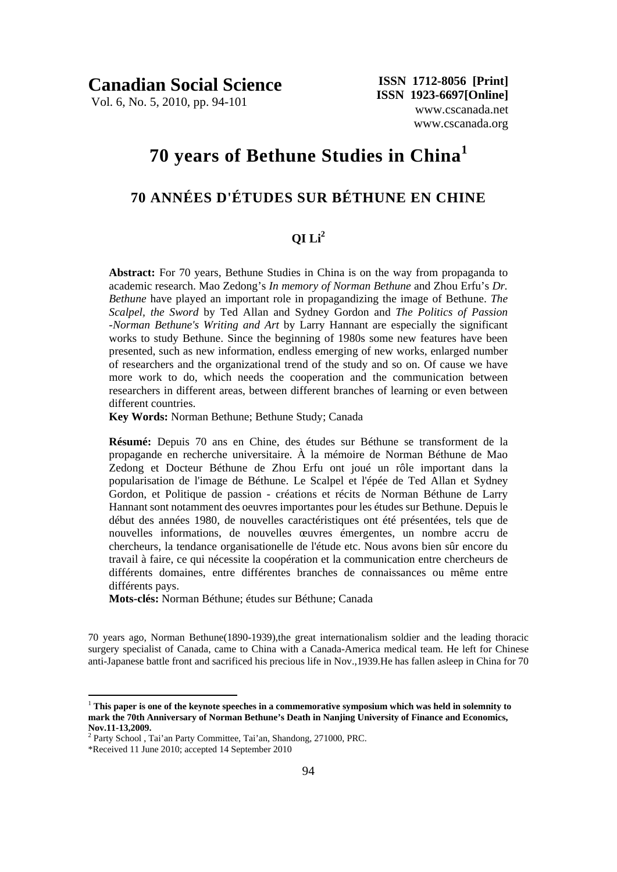**Canadian Social Science** 

Vol. 6, No. 5, 2010, pp. 94-101

 **ISSN 1712-8056 [Print] ISSN 1923-6697[Online]** www.cscanada.net www.cscanada.org

# **70 years of Bethune Studies in China<sup>1</sup>**

# **70 ANNÉES D'ÉTUDES SUR BÉTHUNE EN CHINE**

### **QI Li2**

**Abstract:** For 70 years, Bethune Studies in China is on the way from propaganda to academic research. Mao Zedong's *In memory of Norman Bethune* and Zhou Erfu's *Dr. Bethune* have played an important role in propagandizing the image of Bethune. *The Scalpel, the Sword* by Ted Allan and Sydney Gordon and *The Politics of Passion -Norman Bethune's Writing and Art* by Larry Hannant are especially the significant works to study Bethune. Since the beginning of 1980s some new features have been presented, such as new information, endless emerging of new works, enlarged number of researchers and the organizational trend of the study and so on. Of cause we have more work to do, which needs the cooperation and the communication between researchers in different areas, between different branches of learning or even between different countries.

**Key Words:** Norman Bethune; Bethune Study; Canada

**Résumé:** Depuis 70 ans en Chine, des études sur Béthune se transforment de la propagande en recherche universitaire. À la mémoire de Norman Béthune de Mao Zedong et Docteur Béthune de Zhou Erfu ont joué un rôle important dans la popularisation de l'image de Béthune. Le Scalpel et l'épée de Ted Allan et Sydney Gordon, et Politique de passion - créations et récits de Norman Béthune de Larry Hannant sont notamment des oeuvres importantes pour les études sur Bethune. Depuis le début des années 1980, de nouvelles caractéristiques ont été présentées, tels que de nouvelles informations, de nouvelles œuvres émergentes, un nombre accru de chercheurs, la tendance organisationelle de l'étude etc. Nous avons bien sûr encore du travail à faire, ce qui nécessite la coopération et la communication entre chercheurs de différents domaines, entre différentes branches de connaissances ou même entre différents pays.

**Mots-clés:** Norman Béthune; études sur Béthune; Canada

70 years ago, Norman Bethune(1890-1939),the great internationalism soldier and the leading thoracic surgery specialist of Canada, came to China with a Canada-America medical team. He left for Chinese anti-Japanese battle front and sacrificed his precious life in Nov.,1939.He has fallen asleep in China for 70

1

<sup>1</sup> **This paper is one of the keynote speeches in a commemorative symposium which was held in solemnity to mark the 70th Anniversary of Norman Bethune's Death in Nanjing University of Finance and Economics, Nov.11-13,2009.** 

<sup>&</sup>lt;sup>2</sup> Party School, Tai'an Party Committee, Tai'an, Shandong, 271000, PRC.

<sup>\*</sup>Received 11 June 2010; accepted 14 September 2010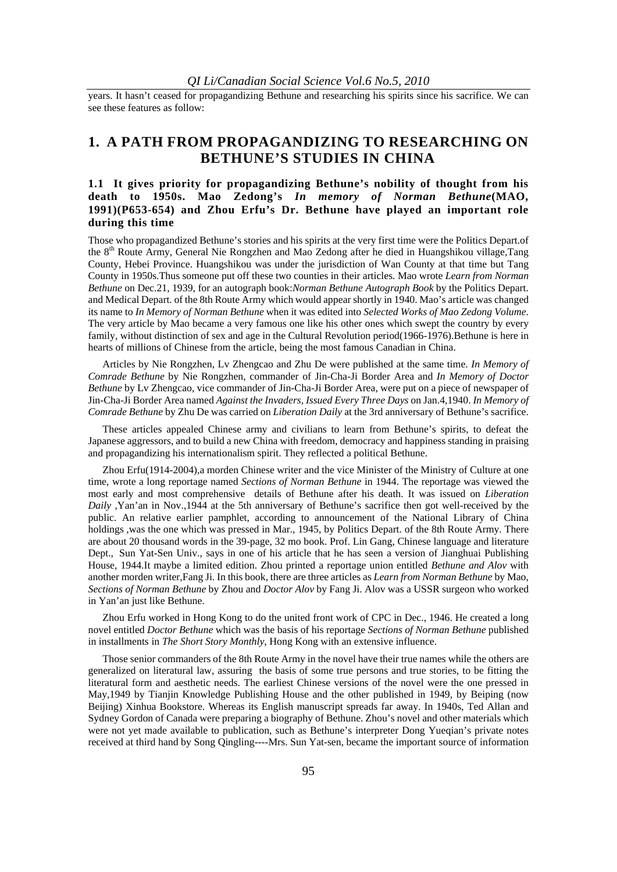years. It hasn't ceased for propagandizing Bethune and researching his spirits since his sacrifice. We can see these features as follow:

# **1. A PATH FROM PROPAGANDIZING TO RESEARCHING ON BETHUNE'S STUDIES IN CHINA**

### **1.1 It gives priority for propagandizing Bethune's nobility of thought from his death to 1950s. Mao Zedong's** *In memory of Norman Bethune***(MAO, 1991)(P653-654) and Zhou Erfu's Dr. Bethune have played an important role during this time**

Those who propagandized Bethune's stories and his spirits at the very first time were the Politics Depart.of the 8th Route Army, General Nie Rongzhen and Mao Zedong after he died in Huangshikou village,Tang County, Hebei Province. Huangshikou was under the jurisdiction of Wan County at that time but Tang County in 1950s.Thus someone put off these two counties in their articles. Mao wrote *Learn from Norman Bethune* on Dec.21, 1939, for an autograph book:*Norman Bethune Autograph Book* by the Politics Depart. and Medical Depart. of the 8th Route Army which would appear shortly in 1940. Mao's article was changed its name to *In Memory of Norman Bethune* when it was edited into *Selected Works of Mao Zedong Volume*. The very article by Mao became a very famous one like his other ones which swept the country by every family, without distinction of sex and age in the Cultural Revolution period(1966-1976).Bethune is here in hearts of millions of Chinese from the article, being the most famous Canadian in China.

Articles by Nie Rongzhen, Lv Zhengcao and Zhu De were published at the same time. *In Memory of Comrade Bethune* by Nie Rongzhen, commander of Jin-Cha-Ji Border Area and *In Memory of Doctor Bethune* by Lv Zhengcao, vice commander of Jin-Cha-Ji Border Area, were put on a piece of newspaper of Jin-Cha-Ji Border Area named *Against the Invaders, Issued Every Three Days* on Jan.4,1940. *In Memory of Comrade Bethune* by Zhu De was carried on *Liberation Daily* at the 3rd anniversary of Bethune's sacrifice.

These articles appealed Chinese army and civilians to learn from Bethune's spirits, to defeat the Japanese aggressors, and to build a new China with freedom, democracy and happiness standing in praising and propagandizing his internationalism spirit. They reflected a political Bethune.

Zhou Erfu(1914-2004),a morden Chinese writer and the vice Minister of the Ministry of Culture at one time, wrote a long reportage named *Sections of Norman Bethune* in 1944. The reportage was viewed the most early and most comprehensive details of Bethune after his death. It was issued on *Liberation Daily* ,Yan'an in Nov.,1944 at the 5th anniversary of Bethune's sacrifice then got well-received by the public. An relative earlier pamphlet, according to announcement of the National Library of China holdings ,was the one which was pressed in Mar., 1945, by Politics Depart. of the 8th Route Army. There are about 20 thousand words in the 39-page, 32 mo book. Prof. Lin Gang, Chinese language and literature Dept., Sun Yat-Sen Univ., says in one of his article that he has seen a version of Jianghuai Publishing House, 1944.It maybe a limited edition. Zhou printed a reportage union entitled *Bethune and Alov* with another morden writer,Fang Ji. In this book, there are three articles as *Learn from Norman Bethune* by Mao, *Sections of Norman Bethune* by Zhou and *Doctor Alov* by Fang Ji. Alov was a USSR surgeon who worked in Yan'an just like Bethune.

Zhou Erfu worked in Hong Kong to do the united front work of CPC in Dec., 1946. He created a long novel entitled *Doctor Bethune* which was the basis of his reportage *Sections of Norman Bethune* published in installments in *The Short Story Monthly*, Hong Kong with an extensive influence.

Those senior commanders of the 8th Route Army in the novel have their true names while the others are generalized on literatural law, assuring the basis of some true persons and true stories, to be fitting the literatural form and aesthetic needs. The earliest Chinese versions of the novel were the one pressed in May,1949 by Tianjin Knowledge Publishing House and the other published in 1949, by Beiping (now Beijing) Xinhua Bookstore. Whereas its English manuscript spreads far away. In 1940s, Ted Allan and Sydney Gordon of Canada were preparing a biography of Bethune. Zhou's novel and other materials which were not yet made available to publication, such as Bethune's interpreter Dong Yueqian's private notes received at third hand by Song Qingling----Mrs. Sun Yat-sen, became the important source of information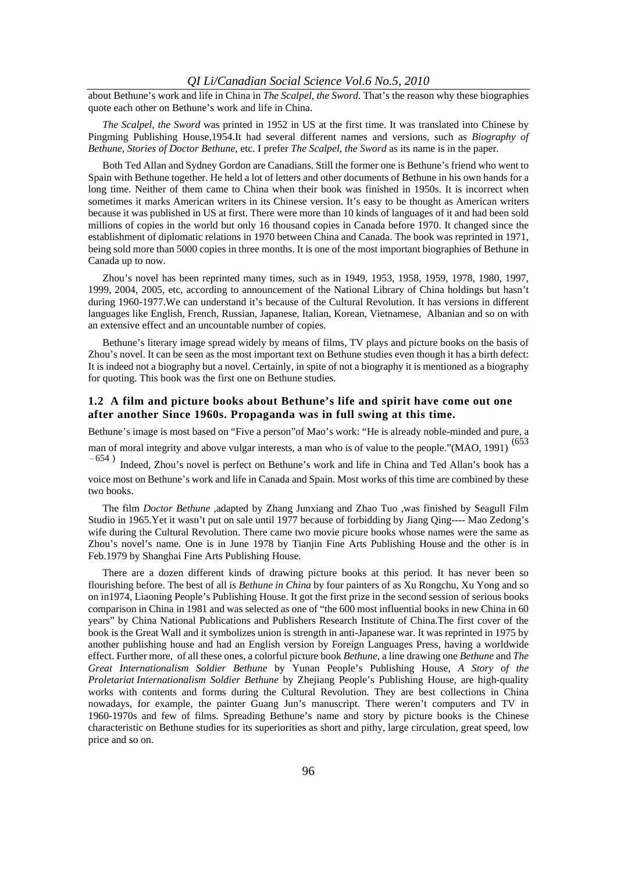about Bethune's work and life in China in *The Scalpel, the Sword*. That's the reason why these biographies quote each other on Bethune's work and life in China.

*The Scalpel, the Sword* was printed in 1952 in US at the first time. It was translated into Chinese by Pingming Publishing House,1954.It had several different names and versions, such as *Biography of Bethune*, *Stories of Doctor Bethune*, etc. I prefer *The Scalpel, the Sword* as its name is in the paper.

Both Ted Allan and Sydney Gordon are Canadians. Still the former one is Bethune's friend who went to Spain with Bethune together. He held a lot of letters and other documents of Bethune in his own hands for a long time. Neither of them came to China when their book was finished in 1950s. It is incorrect when sometimes it marks American writers in its Chinese version. It's easy to be thought as American writers because it was published in US at first. There were more than 10 kinds of languages of it and had been sold millions of copies in the world but only 16 thousand copies in Canada before 1970. It changed since the establishment of diplomatic relations in 1970 between China and Canada. The book was reprinted in 1971, being sold more than 5000 copies in three months. It is one of the most important biographies of Bethune in Canada up to now.

Zhou's novel has been reprinted many times, such as in 1949, 1953, 1958, 1959, 1978, 1980, 1997, 1999, 2004, 2005, etc, according to announcement of the National Library of China holdings but hasn't during 1960-1977.We can understand it's because of the Cultural Revolution. It has versions in different languages like English, French, Russian, Japanese, Italian, Korean, Vietnamese, Albanian and so on with an extensive effect and an uncountable number of copies.

Bethune's literary image spread widely by means of films, TV plays and picture books on the basis of Zhou's novel. It can be seen as the most important text on Bethune studies even though it has a birth defect: It is indeed not a biography but a novel. Certainly, in spite of not a biography it is mentioned as a biography for quoting. This book was the first one on Bethune studies.

### **1.2 A film and picture books about Bethune's life and spirit have come out one after another Since 1960s. Propaganda was in full swing at this time.**

Bethune's image is most based on "Five a person"of Mao's work: "He is already noble-minded and pure, a man of moral integrity and above vulgar interests, a man who is of value to the people."(MAO, 1991)<sup>(653</sup>

 $-654$ ) Indeed, Zhou's novel is perfect on Bethune's work and life in China and Ted Allan's book has a voice most on Bethune's work and life in Canada and Spain. Most works of this time are combined by these two books.

The film *Doctor Bethune* ,adapted by Zhang Junxiang and Zhao Tuo ,was finished by Seagull Film Studio in 1965.Yet it wasn't put on sale until 1977 because of forbidding by Jiang Qing---- Mao Zedong's wife during the Cultural Revolution. There came two movie picure books whose names were the same as Zhou's novel's name. One is in June 1978 by Tianjin Fine Arts Publishing House and the other is in Feb.1979 by Shanghai Fine Arts Publishing House.

There are a dozen different kinds of drawing picture books at this period. It has never been so flourishing before. The best of all is *Bethune in China* by four painters of as Xu Rongchu, Xu Yong and so on in1974, Liaoning People's Publishing House. It got the first prize in the second session of serious books comparison in China in 1981 and was selected as one of "the 600 most influential books in new China in 60 years" by China National Publications and Publishers Research Institute of China.The first cover of the book is the Great Wall and it symbolizes union is strength in anti-Japanese war. It was reprinted in 1975 by another publishing house and had an English version by Foreign Languages Press, having a worldwide effect. Further more, of all these ones, a colorful picture book *Bethune*, a line drawing one *Bethune* and *The Great Internationalism Soldier Bethune* by Yunan People's Publishing House, *A Story of the Proletariat Internationalism Soldier Bethune* by Zhejiang People's Publishing House, are high-quality works with contents and forms during the Cultural Revolution. They are best collections in China nowadays, for example, the painter Guang Jun's manuscript. There weren't computers and TV in 1960-1970s and few of films. Spreading Bethune's name and story by picture books is the Chinese characteristic on Bethune studies for its superiorities as short and pithy, large circulation, great speed, low price and so on.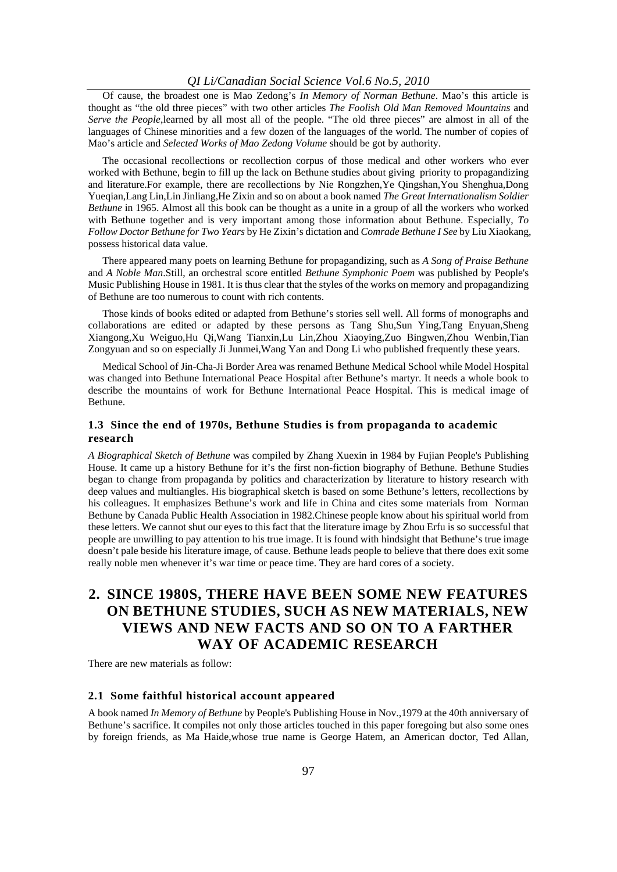#### *QI Li/Canadian Social Science Vol.6 No.5, 2010*

Of cause, the broadest one is Mao Zedong's *In Memory of Norman Bethune*. Mao's this article is thought as "the old three pieces" with two other articles *The Foolish Old Man Removed Mountains* and *Serve the People*, learned by all most all of the people. "The old three pieces" are almost in all of the languages of Chinese minorities and a few dozen of the languages of the world. The number of copies of Mao's article and *Selected Works of Mao Zedong Volume* should be got by authority.

The occasional recollections or recollection corpus of those medical and other workers who ever worked with Bethune, begin to fill up the lack on Bethune studies about giving priority to propagandizing and literature.For example, there are recollections by Nie Rongzhen,Ye Qingshan,You Shenghua,Dong Yueqian,Lang Lin,Lin Jinliang,He Zixin and so on about a book named *The Great Internationalism Soldier Bethune* in 1965. Almost all this book can be thought as a unite in a group of all the workers who worked with Bethune together and is very important among those information about Bethune. Especially, *To Follow Doctor Bethune for Two Years* by He Zixin's dictation and *Comrade Bethune I See* by Liu Xiaokang, possess historical data value.

There appeared many poets on learning Bethune for propagandizing, such as *A Song of Praise Bethune* and *A Noble Man*.Still, an orchestral score entitled *Bethune Symphonic Poem* was published by People's Music Publishing House in 1981. It is thus clear that the styles of the works on memory and propagandizing of Bethune are too numerous to count with rich contents.

Those kinds of books edited or adapted from Bethune's stories sell well. All forms of monographs and collaborations are edited or adapted by these persons as Tang Shu,Sun Ying,Tang Enyuan,Sheng Xiangong,Xu Weiguo,Hu Qi,Wang Tianxin,Lu Lin,Zhou Xiaoying,Zuo Bingwen,Zhou Wenbin,Tian Zongyuan and so on especially Ji Junmei,Wang Yan and Dong Li who published frequently these years.

Medical School of Jin-Cha-Ji Border Area was renamed Bethune Medical School while Model Hospital was changed into Bethune International Peace Hospital after Bethune's martyr. It needs a whole book to describe the mountains of work for Bethune International Peace Hospital. This is medical image of Bethune.

### **1.3 Since the end of 1970s, Bethune Studies is from propaganda to academic research**

*A Biographical Sketch of Bethune* was compiled by Zhang Xuexin in 1984 by Fujian People's Publishing House. It came up a history Bethune for it's the first non-fiction biography of Bethune. Bethune Studies began to change from propaganda by politics and characterization by literature to history research with deep values and multiangles. His biographical sketch is based on some Bethune's letters, recollections by his colleagues. It emphasizes Bethune's work and life in China and cites some materials from Norman Bethune by Canada Public Health Association in 1982.Chinese people know about his spiritual world from these letters. We cannot shut our eyes to this fact that the literature image by Zhou Erfu is so successful that people are unwilling to pay attention to his true image. It is found with hindsight that Bethune's true image doesn't pale beside his literature image, of cause. Bethune leads people to believe that there does exit some really noble men whenever it's war time or peace time. They are hard cores of a society.

# **2. SINCE 1980S, THERE HAVE BEEN SOME NEW FEATURES ON BETHUNE STUDIES, SUCH AS NEW MATERIALS, NEW VIEWS AND NEW FACTS AND SO ON TO A FARTHER WAY OF ACADEMIC RESEARCH**

There are new materials as follow:

#### **2.1 Some faithful historical account appeared**

A book named *In Memory of Bethune* by People's Publishing House in Nov.,1979 at the 40th anniversary of Bethune's sacrifice. It compiles not only those articles touched in this paper foregoing but also some ones by foreign friends, as Ma Haide,whose true name is George Hatem, an American doctor, Ted Allan,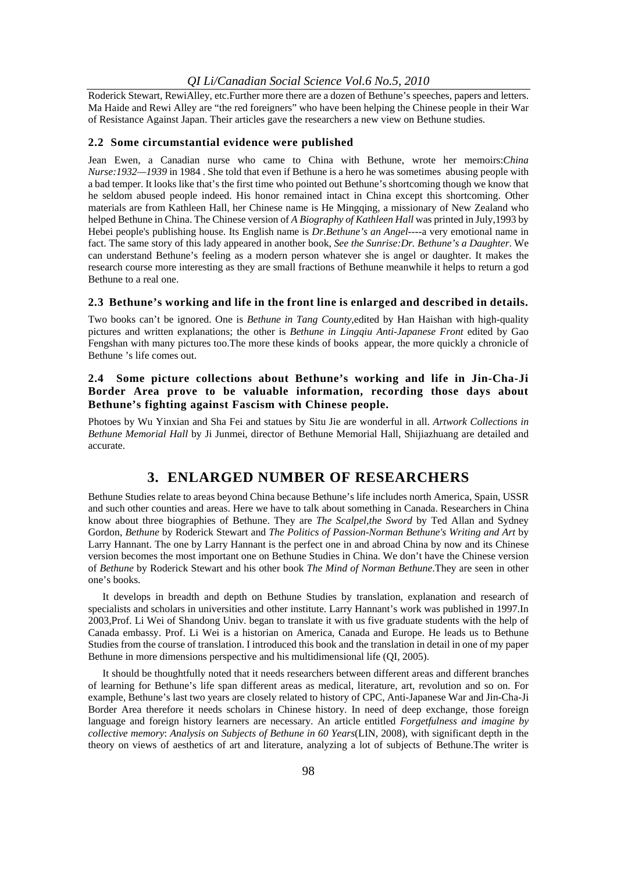#### *QI Li/Canadian Social Science Vol.6 No.5, 2010*

Roderick Stewart, RewiAlley, etc.Further more there are a dozen of Bethune's speeches, papers and letters. Ma Haide and Rewi Alley are "the red foreigners" who have been helping the Chinese people in their War of Resistance Against Japan. Their articles gave the researchers a new view on Bethune studies.

#### **2.2 Some circumstantial evidence were published**

Jean Ewen, a Canadian nurse who came to China with Bethune, wrote her memoirs:*China Nurse:1932—1939* in 1984 . She told that even if Bethune is a hero he was sometimes abusing people with a bad temper. It looks like that's the first time who pointed out Bethune's shortcoming though we know that he seldom abused people indeed. His honor remained intact in China except this shortcoming. Other materials are from Kathleen Hall, her Chinese name is He Mingqing, a missionary of New Zealand who helped Bethune in China. The Chinese version of *A Biography of Kathleen Hall* was printed in July,1993 by Hebei people's publishing house. Its English name is *Dr.Bethune's an Angel*----a very emotional name in fact. The same story of this lady appeared in another book, *See the Sunrise:Dr. Bethune's a Daughter*. We can understand Bethune's feeling as a modern person whatever she is angel or daughter. It makes the research course more interesting as they are small fractions of Bethune meanwhile it helps to return a god Bethune to a real one.

#### **2.3 Bethune's working and life in the front line is enlarged and described in details.**

Two books can't be ignored. One is *Bethune in Tang County*,edited by Han Haishan with high-quality pictures and written explanations; the other is *Bethune in Lingqiu Anti-Japanese Front* edited by Gao Fengshan with many pictures too.The more these kinds of books appear, the more quickly a chronicle of Bethune 's life comes out.

### **2.4 Some picture collections about Bethune's working and life in Jin-Cha-Ji Border Area prove to be valuable information, recording those days about Bethune's fighting against Fascism with Chinese people.**

Photoes by Wu Yinxian and Sha Fei and statues by Situ Jie are wonderful in all. *Artwork Collections in Bethune Memorial Hall* by Ji Junmei, director of Bethune Memorial Hall, Shijiazhuang are detailed and accurate.

### **3. ENLARGED NUMBER OF RESEARCHERS**

Bethune Studies relate to areas beyond China because Bethune's life includes north America, Spain, USSR and such other counties and areas. Here we have to talk about something in Canada. Researchers in China know about three biographies of Bethune. They are *The Scalpel,the Sword* by Ted Allan and Sydney Gordon, *Bethune* by Roderick Stewart and *The Politics of Passion-Norman Bethune's Writing and Art* by Larry Hannant. The one by Larry Hannant is the perfect one in and abroad China by now and its Chinese version becomes the most important one on Bethune Studies in China. We don't have the Chinese version of *Bethune* by Roderick Stewart and his other book *The Mind of Norman Bethune*.They are seen in other one's books.

It develops in breadth and depth on Bethune Studies by translation, explanation and research of specialists and scholars in universities and other institute. Larry Hannant's work was published in 1997.In 2003,Prof. Li Wei of Shandong Univ. began to translate it with us five graduate students with the help of Canada embassy. Prof. Li Wei is a historian on America, Canada and Europe. He leads us to Bethune Studies from the course of translation. I introduced this book and the translation in detail in one of my paper Bethune in more dimensions perspective and his multidimensional life (QI, 2005).

It should be thoughtfully noted that it needs researchers between different areas and different branches of learning for Bethune's life span different areas as medical, literature, art, revolution and so on. For example, Bethune's last two years are closely related to history of CPC, Anti-Japanese War and Jin-Cha-Ji Border Area therefore it needs scholars in Chinese history. In need of deep exchange, those foreign language and foreign history learners are necessary. An article entitled *Forgetfulness and imagine by collective memory*: *Analysis on Subjects of Bethune in 60 Years*(LIN, 2008), with significant depth in the theory on views of aesthetics of art and literature, analyzing a lot of subjects of Bethune.The writer is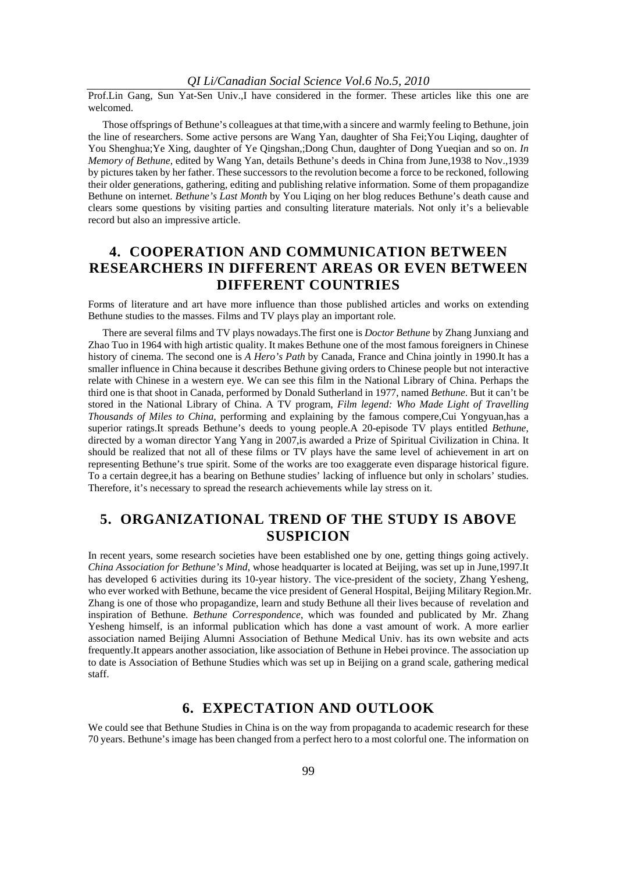Prof.Lin Gang, Sun Yat-Sen Univ.,I have considered in the former. These articles like this one are welcomed.

Those offsprings of Bethune's colleagues at that time,with a sincere and warmly feeling to Bethune, join the line of researchers. Some active persons are Wang Yan, daughter of Sha Fei;You Liqing, daughter of You Shenghua;Ye Xing, daughter of Ye Qingshan,;Dong Chun, daughter of Dong Yueqian and so on. *In Memory of Bethune*, edited by Wang Yan, details Bethune's deeds in China from June,1938 to Nov.,1939 by pictures taken by her father. These successors to the revolution become a force to be reckoned, following their older generations, gathering, editing and publishing relative information. Some of them propagandize Bethune on internet. *Bethune's Last Month* by You Liqing on her blog reduces Bethune's death cause and clears some questions by visiting parties and consulting literature materials. Not only it's a believable record but also an impressive article.

# **4. COOPERATION AND COMMUNICATION BETWEEN RESEARCHERS IN DIFFERENT AREAS OR EVEN BETWEEN DIFFERENT COUNTRIES**

Forms of literature and art have more influence than those published articles and works on extending Bethune studies to the masses. Films and TV plays play an important role.

There are several films and TV plays nowadays.The first one is *Doctor Bethune* by Zhang Junxiang and Zhao Tuo in 1964 with high artistic quality. It makes Bethune one of the most famous foreigners in Chinese history of cinema. The second one is *A Hero's Path* by Canada, France and China jointly in 1990.It has a smaller influence in China because it describes Bethune giving orders to Chinese people but not interactive relate with Chinese in a western eye. We can see this film in the National Library of China. Perhaps the third one is that shoot in Canada, performed by Donald Sutherland in 1977, named *Bethune*. But it can't be stored in the National Library of China. A TV program, *Film legend: Who Made Light of Travelling Thousands of Miles to China*, performing and explaining by the famous compere,Cui Yongyuan,has a superior ratings.It spreads Bethune's deeds to young people.A 20-episode TV plays entitled *Bethune*, directed by a woman director Yang Yang in 2007,is awarded a Prize of Spiritual Civilization in China. It should be realized that not all of these films or TV plays have the same level of achievement in art on representing Bethune's true spirit. Some of the works are too exaggerate even disparage historical figure. To a certain degree,it has a bearing on Bethune studies' lacking of influence but only in scholars' studies. Therefore, it's necessary to spread the research achievements while lay stress on it.

# **5. ORGANIZATIONAL TREND OF THE STUDY IS ABOVE SUSPICION**

In recent years, some research societies have been established one by one, getting things going actively. *China Association for Bethune's Mind*, whose headquarter is located at Beijing, was set up in June,1997.It has developed 6 activities during its 10-year history. The vice-president of the society, Zhang Yesheng, who ever worked with Bethune, became the vice president of General Hospital, Beijing Military Region.Mr. Zhang is one of those who propagandize, learn and study Bethune all their lives because of revelation and inspiration of Bethune. *Bethune Correspondence*, which was founded and publicated by Mr. Zhang Yesheng himself, is an informal publication which has done a vast amount of work. A more earlier association named Beijing Alumni Association of Bethune Medical Univ. has its own website and acts frequently.It appears another association, like association of Bethune in Hebei province. The association up to date is Association of Bethune Studies which was set up in Beijing on a grand scale, gathering medical staff.

## **6. EXPECTATION AND OUTLOOK**

We could see that Bethune Studies in China is on the way from propaganda to academic research for these 70 years. Bethune's image has been changed from a perfect hero to a most colorful one. The information on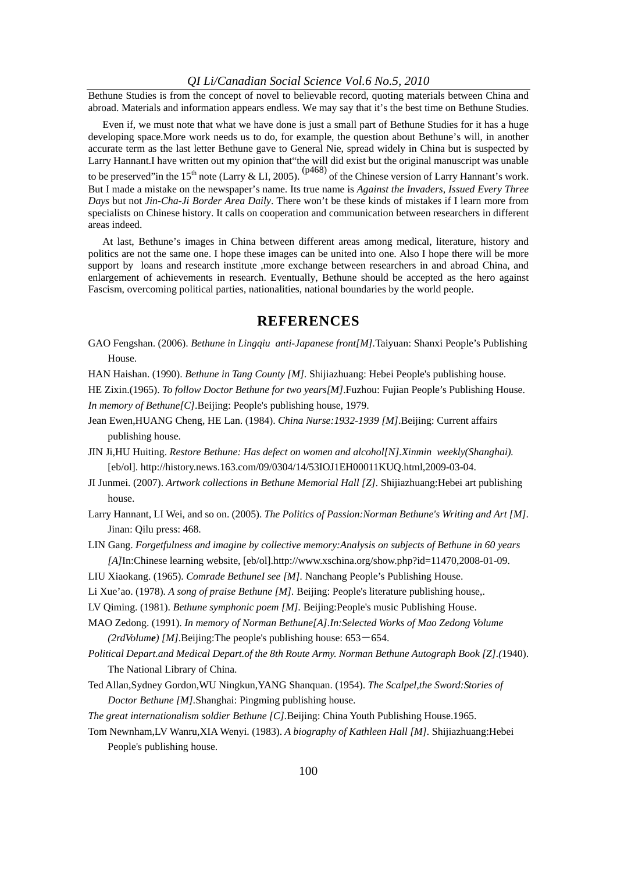Bethune Studies is from the concept of novel to believable record, quoting materials between China and abroad. Materials and information appears endless. We may say that it's the best time on Bethune Studies.

Even if, we must note that what we have done is just a small part of Bethune Studies for it has a huge developing space.More work needs us to do, for example, the question about Bethune's will, in another accurate term as the last letter Bethune gave to General Nie, spread widely in China but is suspected by Larry Hannant.I have written out my opinion that"the will did exist but the original manuscript was unable to be preserved"in the 15<sup>th</sup> note (Larry & LI, 2005). ( $p468$ ) of the Chinese version of Larry Hannant's work. But I made a mistake on the newspaper's name. Its true name is *Against the Invaders, Issued Every Three Days* but not *Jin-Cha-Ji Border Area Daily*. There won't be these kinds of mistakes if I learn more from specialists on Chinese history. It calls on cooperation and communication between researchers in different areas indeed.

At last, Bethune's images in China between different areas among medical, literature, history and politics are not the same one. I hope these images can be united into one. Also I hope there will be more support by loans and research institute ,more exchange between researchers in and abroad China, and enlargement of achievements in research. Eventually, Bethune should be accepted as the hero against Fascism, overcoming political parties, nationalities, national boundaries by the world people.

### **REFERENCES**

GAO Fengshan. (2006). *Bethune in Lingqiu anti-Japanese front[M].*Taiyuan: Shanxi People's Publishing House.

HAN Haishan. (1990). *Bethune in Tang County [M].* Shijiazhuang: Hebei People's publishing house.

HE Zixin.(1965). *To follow Doctor Bethune for two years[M]*.Fuzhou: Fujian People's Publishing House. *In memory of Bethune[C]*.Beijing: People's publishing house, 1979.

- Jean Ewen,HUANG Cheng, HE Lan. (1984). *China Nurse:1932-1939 [M]*.Beijing: Current affairs publishing house.
- JIN Ji,HU Huiting. *Restore Bethune: Has defect on women and alcohol[N].Xinmin weekly(Shanghai).*  [eb/ol]. http://history.news.163.com/09/0304/14/53IOJ1EH00011KUQ.html,2009-03-04.
- JI Junmei. (2007). *Artwork collections in Bethune Memorial Hall [Z].* Shijiazhuang:Hebei art publishing house.
- Larry Hannant, LI Wei, and so on. (2005). *The Politics of Passion:Norman Bethune's Writing and Art [M]*. Jinan: Qilu press: 468.
- LIN Gang. *Forgetfulness and imagine by collective memory:Analysis on subjects of Bethune in 60 years [A]*In:Chinese learning website, [eb/ol].http://www.xschina.org/show.php?id=11470,2008-01-09.
- LIU Xiaokang. (1965). *Comrade BethuneI see [M].* Nanchang People's Publishing House.
- Li Xue'ao. (1978)*. A song of praise Bethune [M].* Beijing: People's literature publishing house,.
- LV Qiming. (1981). *Bethune symphonic poem [M].* Beijing:People's music Publishing House.
- MAO Zedong. (1991). *In memory of Norman Bethune[A].In:Selected Works of Mao Zedong Volume*   $(2rdVolume)$  [M]. Beijing: The people's publishing house:  $653-654$ .
- *Political Depart.and Medical Depart.of the 8th Route Army. Norman Bethune Autograph Book [Z].(*1940). The National Library of China.
- Ted Allan,Sydney Gordon,WU Ningkun,YANG Shanquan. (1954). *The Scalpel,the Sword:Stories of Doctor Bethune [M].*Shanghai: Pingming publishing house.
- *The great internationalism soldier Bethune [C].*Beijing: China Youth Publishing House.1965.
- Tom Newnham,LV Wanru,XIA Wenyi. (1983). *A biography of Kathleen Hall [M].* Shijiazhuang:Hebei People's publishing house.